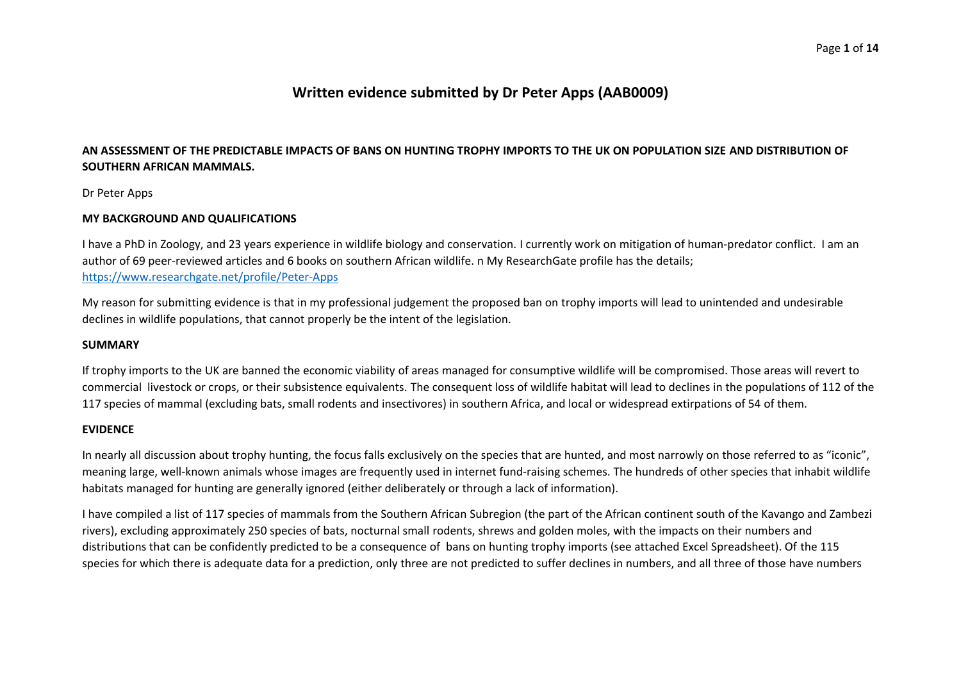# **Written evidence submitted by Dr Peter Apps (AAB0009)**

# AN ASSESSMENT OF THE PREDICTABLE IMPACTS OF BANS ON HUNTING TROPHY IMPORTS TO THE UK ON POPULATION SIZE AND DISTRIBUTION OF **SOUTHERN AFRICAN MAMMALS.**

Dr Peter Apps

## **MY BACKGROUND AND QUALIFICATIONS**

I have a PhD in Zoology, and 23 years experience in wildlife biology and conservation. I currently work on mitigation of human-predator conflict. I am an author of 69 peer-reviewed articles and 6 books on southern African wildlife. n My ResearchGate profile has the details; <https://www.researchgate.net/profile/Peter-Apps>

My reason for submitting evidence is that in my professional judgement the proposed ban on trophy imports will lead to unintended and undesirable declines in wildlife populations, that cannot properly be the intent of the legislation.

#### **SUMMARY**

If trophy imports to the UK are banned the economic viability of areas managed for consumptive wildlife will be compromised. Those areas will revert to commercial livestock or crops, or their subsistence equivalents. The consequent loss of wildlife habitat will lead to declines in the populations of 112 of the 117 species of mammal (excluding bats, small rodents and insectivores) in southern Africa, and local or widespread extirpations of 54 of them.

## **EVIDENCE**

In nearly all discussion about trophy hunting, the focus falls exclusively on the species that are hunted, and most narrowly on those referred to as "iconic", meaning large, well-known animals whose images are frequently used in internet fund-raising schemes. The hundreds of other species that inhabit wildlife habitats managed for hunting are generally ignored (either deliberately or through a lack of information).

I have compiled a list of 117 species of mammals from the Southern African Subregion (the part of the African continent south of the Kavango and Zambezi rivers), excluding approximately 250 species of bats, nocturnal small rodents, shrews and golden moles, with the impacts on their numbers and distributions that can be confidently predicted to be a consequence of bans on hunting trophy imports (see attached Excel Spreadsheet). Of the 115 species for which there is adequate data for a prediction, only three are not predicted to suffer declines in numbers, and all three of those have numbers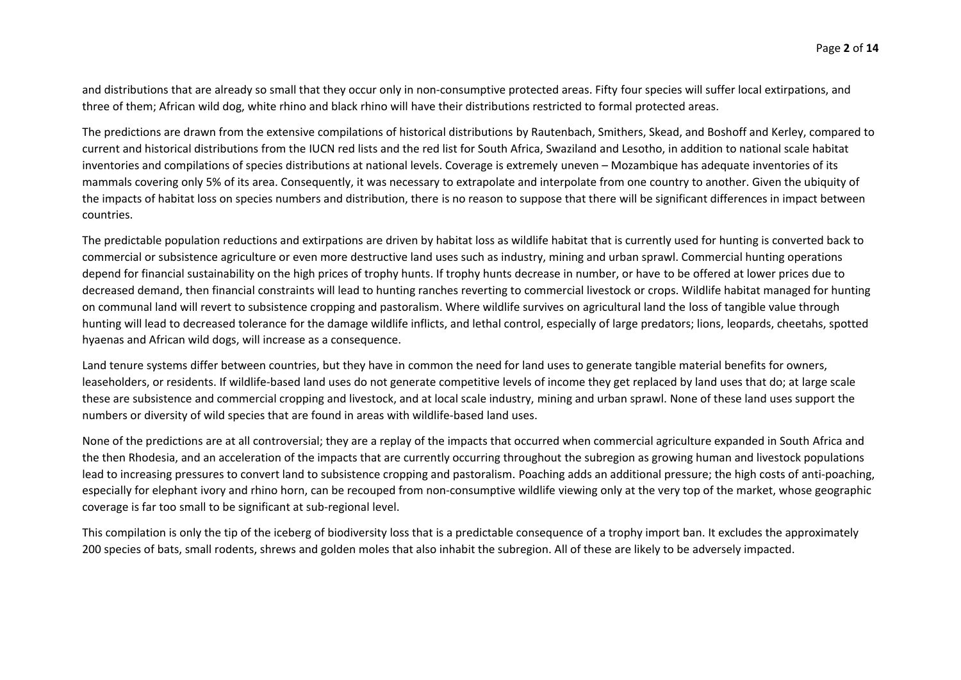and distributions that are already so small that they occur only in non-consumptive protected areas. Fifty four species will suffer local extirpations, and three of them; African wild dog, white rhino and black rhino will have their distributions restricted to formal protected areas.

The predictions are drawn from the extensive compilations of historical distributions by Rautenbach, Smithers, Skead, and Boshoff and Kerley, compared to current and historical distributions from the IUCN red lists and the red list for South Africa, Swaziland and Lesotho, in addition to national scale habitat inventories and compilations of species distributions at national levels. Coverage is extremely uneven – Mozambique has adequate inventories of its mammals covering only 5% of its area. Consequently, it was necessary to extrapolate and interpolate from one country to another. Given the ubiquity of the impacts of habitat loss on species numbers and distribution, there is no reason to suppose that there will be significant differences in impact between countries.

The predictable population reductions and extirpations are driven by habitat loss as wildlife habitat that is currently used for hunting is converted back to commercial or subsistence agriculture or even more destructive land uses such as industry, mining and urban sprawl. Commercial hunting operations depend for financial sustainability on the high prices of trophy hunts. If trophy hunts decrease in number, or have to be offered at lower prices due to decreased demand, then financial constraints will lead to hunting ranches reverting to commercial livestock or crops. Wildlife habitat managed for hunting on communal land will revert to subsistence cropping and pastoralism. Where wildlife survives on agricultural land the loss of tangible value through hunting will lead to decreased tolerance for the damage wildlife inflicts, and lethal control, especially of large predators; lions, leopards, cheetahs, spotted hyaenas and African wild dogs, will increase as a consequence.

Land tenure systems differ between countries, but they have in common the need for land uses to generate tangible material benefits for owners, leaseholders, or residents. If wildlife-based land uses do not generate competitive levels of income they get replaced by land uses that do; at large scale these are subsistence and commercial cropping and livestock, and at local scale industry, mining and urban sprawl. None of these land uses support the numbers or diversity of wild species that are found in areas with wildlife-based land uses.

None of the predictions are at all controversial; they are a replay of the impacts that occurred when commercial agriculture expanded in South Africa and the then Rhodesia, and an acceleration of the impacts that are currently occurring throughout the subregion as growing human and livestock populations lead to increasing pressures to convert land to subsistence cropping and pastoralism. Poaching adds an additional pressure; the high costs of anti-poaching, especially for elephant ivory and rhino horn, can be recouped from non-consumptive wildlife viewing only at the very top of the market, whose geographic coverage is far too small to be significant at sub-regional level.

This compilation is only the tip of the iceberg of biodiversity loss that is a predictable consequence of a trophy import ban. It excludes the approximately 200 species of bats, small rodents, shrews and golden moles that also inhabit the subregion. All of these are likely to be adversely impacted.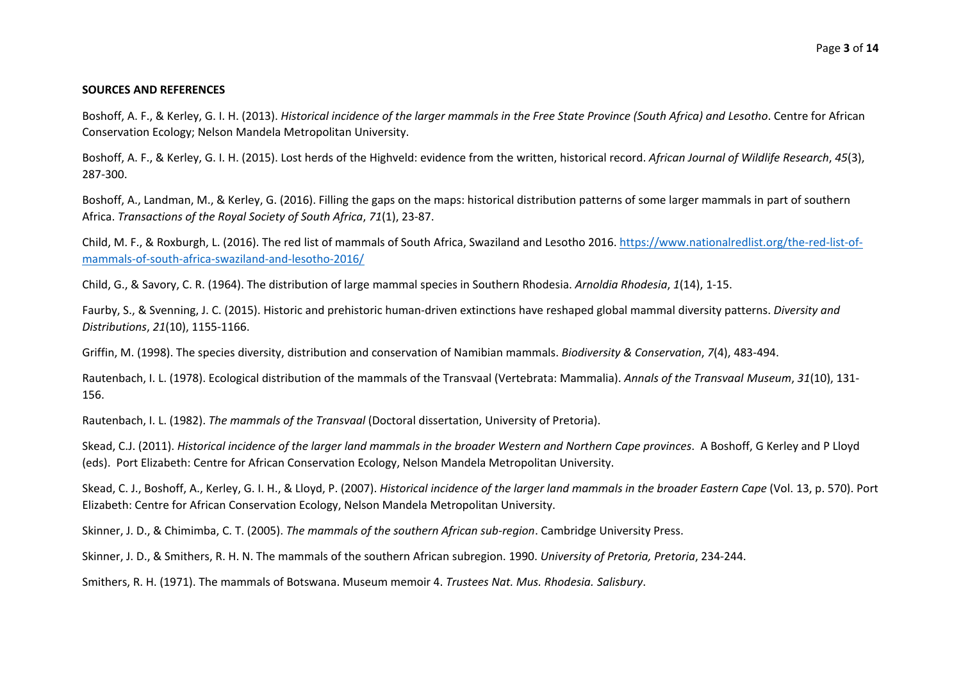#### **SOURCES AND REFERENCES**

Boshoff, A. F., & Kerley, G. I. H. (2013). Historical incidence of the larger mammals in the Free State Province (South Africa) and Lesotho. Centre for African Conservation Ecology; Nelson Mandela Metropolitan University.

Boshoff, A. F., & Kerley, G. I. H. (2015). Lost herds of the Highveld: evidence from the written, historical record. *African Journal of Wildlife Research*, *45*(3), 287-300.

Boshoff, A., Landman, M., & Kerley, G. (2016). Filling the gaps on the maps: historical distribution patterns of some larger mammals in part of southern Africa. *Transactions of the Royal Society of South Africa*, *71*(1), 23-87.

Child, M. F., & Roxburgh, L. (2016). The red list of mammals of South Africa, Swaziland and Lesotho 2016. [https://www.nationalredlist.org/the-red-list-of](https://www.nationalredlist.org/the-red-list-of-mammals-of-south-africa-swaziland-and-lesotho-2016/)[mammals-of-south-africa-swaziland-and-lesotho-2016/](https://www.nationalredlist.org/the-red-list-of-mammals-of-south-africa-swaziland-and-lesotho-2016/)

Child, G., & Savory, C. R. (1964). The distribution of large mammal species in Southern Rhodesia. *Arnoldia Rhodesia*, *1*(14), 1-15.

Faurby, S., & Svenning, J. C. (2015). Historic and prehistoric human-driven extinctions have reshaped global mammal diversity patterns. *Diversity and Distributions*, *21*(10), 1155-1166.

Griffin, M. (1998). The species diversity, distribution and conservation of Namibian mammals. *Biodiversity & Conservation*, *7*(4), 483-494.

Rautenbach, I. L. (1978). Ecological distribution of the mammals of the Transvaal (Vertebrata: Mammalia). *Annals of the Transvaal Museum*, *31*(10), 131- 156.

Rautenbach, I. L. (1982). *The mammals of the Transvaal* (Doctoral dissertation, University of Pretoria).

Skead, C.J. (2011). Historical incidence of the larger land mammals in the broader Western and Northern Cape provinces. A Boshoff, G Kerley and P Lloyd (eds). Port Elizabeth: Centre for African Conservation Ecology, Nelson Mandela Metropolitan University.

Skead, C. J., Boshoff, A., Kerley, G. I. H., & Lloyd, P. (2007). Historical incidence of the larger land mammals in the broader Eastern Cape (Vol. 13, p. 570). Port Elizabeth: Centre for African Conservation Ecology, Nelson Mandela Metropolitan University.

Skinner, J. D., & Chimimba, C. T. (2005). *The mammals of the southern African sub-region*. Cambridge University Press.

Skinner, J. D., & Smithers, R. H. N. The mammals of the southern African subregion. 1990. *University of Pretoria, Pretoria*, 234-244.

Smithers, R. H. (1971). The mammals of Botswana. Museum memoir 4. *Trustees Nat. Mus. Rhodesia. Salisbury*.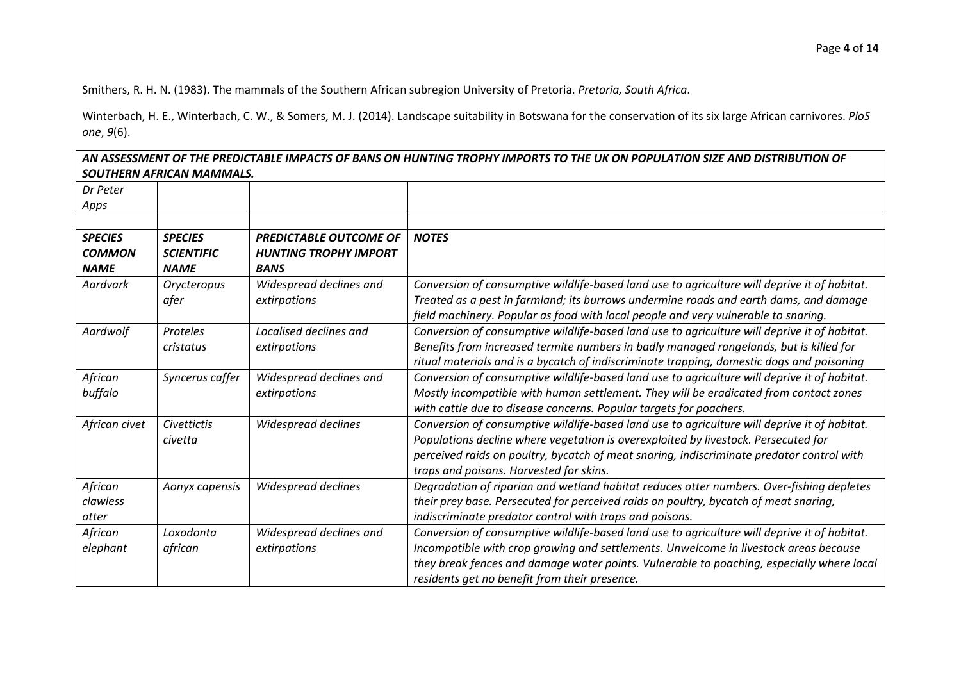Smithers, R. H. N. (1983). The mammals of the Southern African subregion University of Pretoria. *Pretoria, South Africa*.

Winterbach, H. E., Winterbach, C. W., & Somers, M. J. (2014). Landscape suitability in Botswana for the conservation of its six large African carnivores. *PloS one*, *9*(6).

AN ASSESSMENT OF THE PREDICTABLE IMPACTS OF BANS ON HUNTING TROPHY IMPORTS TO THE UK ON POPULATION SIZE AND DISTRIBUTION OF *SOUTHERN AFRICAN MAMMALS.*

| Dr Peter       |                   |                               |                                                                                              |
|----------------|-------------------|-------------------------------|----------------------------------------------------------------------------------------------|
| Apps           |                   |                               |                                                                                              |
|                |                   |                               |                                                                                              |
| <b>SPECIES</b> | <b>SPECIES</b>    | <b>PREDICTABLE OUTCOME OF</b> | <b>NOTES</b>                                                                                 |
| <b>COMMON</b>  | <b>SCIENTIFIC</b> | <b>HUNTING TROPHY IMPORT</b>  |                                                                                              |
| <b>NAME</b>    | <b>NAME</b>       | <b>BANS</b>                   |                                                                                              |
| Aardvark       | Orycteropus       | Widespread declines and       | Conversion of consumptive wildlife-based land use to agriculture will deprive it of habitat. |
|                | afer              | extirpations                  | Treated as a pest in farmland; its burrows undermine roads and earth dams, and damage        |
|                |                   |                               | field machinery. Popular as food with local people and very vulnerable to snaring.           |
| Aardwolf       | Proteles          | Localised declines and        | Conversion of consumptive wildlife-based land use to agriculture will deprive it of habitat. |
|                | cristatus         | extirpations                  | Benefits from increased termite numbers in badly managed rangelands, but is killed for       |
|                |                   |                               | ritual materials and is a bycatch of indiscriminate trapping, domestic dogs and poisoning    |
| African        | Syncerus caffer   | Widespread declines and       | Conversion of consumptive wildlife-based land use to agriculture will deprive it of habitat. |
| buffalo        |                   | extirpations                  | Mostly incompatible with human settlement. They will be eradicated from contact zones        |
|                |                   |                               | with cattle due to disease concerns. Popular targets for poachers.                           |
| African civet  | Civettictis       | Widespread declines           | Conversion of consumptive wildlife-based land use to agriculture will deprive it of habitat. |
|                | civetta           |                               | Populations decline where vegetation is overexploited by livestock. Persecuted for           |
|                |                   |                               | perceived raids on poultry, bycatch of meat snaring, indiscriminate predator control with    |
|                |                   |                               | traps and poisons. Harvested for skins.                                                      |
| African        | Aonyx capensis    | Widespread declines           | Degradation of riparian and wetland habitat reduces otter numbers. Over-fishing depletes     |
| clawless       |                   |                               | their prey base. Persecuted for perceived raids on poultry, bycatch of meat snaring,         |
| otter          |                   |                               | indiscriminate predator control with traps and poisons.                                      |
| African        | Loxodonta         | Widespread declines and       | Conversion of consumptive wildlife-based land use to agriculture will deprive it of habitat. |
| elephant       | african           | extirpations                  | Incompatible with crop growing and settlements. Unwelcome in livestock areas because         |
|                |                   |                               | they break fences and damage water points. Vulnerable to poaching, especially where local    |
|                |                   |                               | residents get no benefit from their presence.                                                |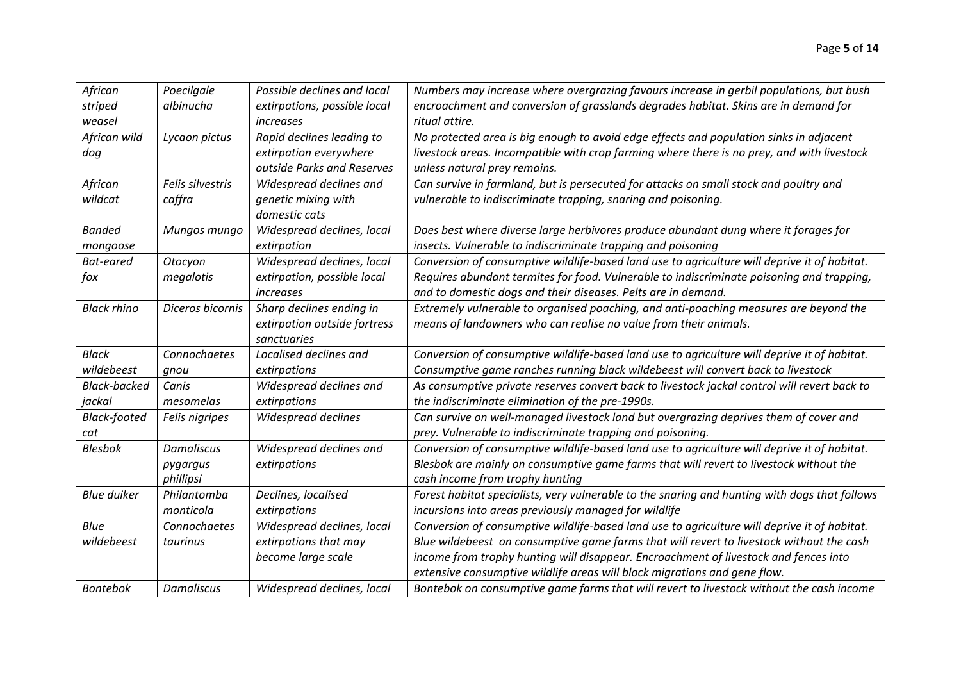| African             | Poecilgale        | Possible declines and local  | Numbers may increase where overgrazing favours increase in gerbil populations, but bush       |
|---------------------|-------------------|------------------------------|-----------------------------------------------------------------------------------------------|
| striped             | albinucha         | extirpations, possible local | encroachment and conversion of grasslands degrades habitat. Skins are in demand for           |
| weasel              |                   | increases                    | ritual attire.                                                                                |
| African wild        | Lycaon pictus     | Rapid declines leading to    | No protected area is big enough to avoid edge effects and population sinks in adjacent        |
| dog                 |                   | extirpation everywhere       | livestock areas. Incompatible with crop farming where there is no prey, and with livestock    |
|                     |                   | outside Parks and Reserves   | unless natural prey remains.                                                                  |
| African             | Felis silvestris  | Widespread declines and      | Can survive in farmland, but is persecuted for attacks on small stock and poultry and         |
| wildcat             | caffra            | genetic mixing with          | vulnerable to indiscriminate trapping, snaring and poisoning.                                 |
|                     |                   | domestic cats                |                                                                                               |
| <b>Banded</b>       | Mungos mungo      | Widespread declines, local   | Does best where diverse large herbivores produce abundant dung where it forages for           |
| mongoose            |                   | extirpation                  | insects. Vulnerable to indiscriminate trapping and poisoning                                  |
| <b>Bat-eared</b>    | Otocyon           | Widespread declines, local   | Conversion of consumptive wildlife-based land use to agriculture will deprive it of habitat.  |
| fox                 | megalotis         | extirpation, possible local  | Requires abundant termites for food. Vulnerable to indiscriminate poisoning and trapping,     |
|                     |                   | increases                    | and to domestic dogs and their diseases. Pelts are in demand.                                 |
| <b>Black rhino</b>  | Diceros bicornis  | Sharp declines ending in     | Extremely vulnerable to organised poaching, and anti-poaching measures are beyond the         |
|                     |                   | extirpation outside fortress | means of landowners who can realise no value from their animals.                              |
|                     |                   | sanctuaries                  |                                                                                               |
| <b>Black</b>        | Connochaetes      | Localised declines and       | Conversion of consumptive wildlife-based land use to agriculture will deprive it of habitat.  |
| wildebeest          | gnou              | extirpations                 | Consumptive game ranches running black wildebeest will convert back to livestock              |
| <b>Black-backed</b> | Canis             | Widespread declines and      | As consumptive private reserves convert back to livestock jackal control will revert back to  |
| jackal              | mesomelas         | extirpations                 | the indiscriminate elimination of the pre-1990s.                                              |
| <b>Black-footed</b> | Felis nigripes    | Widespread declines          | Can survive on well-managed livestock land but overgrazing deprives them of cover and         |
| cat                 |                   |                              | prey. Vulnerable to indiscriminate trapping and poisoning.                                    |
| <b>Blesbok</b>      | <b>Damaliscus</b> | Widespread declines and      | Conversion of consumptive wildlife-based land use to agriculture will deprive it of habitat.  |
|                     | pygargus          | extirpations                 | Blesbok are mainly on consumptive game farms that will revert to livestock without the        |
|                     | phillipsi         |                              | cash income from trophy hunting                                                               |
| <b>Blue duiker</b>  | Philantomba       | Declines, localised          | Forest habitat specialists, very vulnerable to the snaring and hunting with dogs that follows |
|                     | monticola         | extirpations                 | incursions into areas previously managed for wildlife                                         |
| Blue                | Connochaetes      | Widespread declines, local   | Conversion of consumptive wildlife-based land use to agriculture will deprive it of habitat.  |
| wildebeest          | taurinus          | extirpations that may        | Blue wildebeest on consumptive game farms that will revert to livestock without the cash      |
|                     |                   | become large scale           | income from trophy hunting will disappear. Encroachment of livestock and fences into          |
|                     |                   |                              | extensive consumptive wildlife areas will block migrations and gene flow.                     |
| <b>Bontebok</b>     | <b>Damaliscus</b> | Widespread declines, local   | Bontebok on consumptive game farms that will revert to livestock without the cash income      |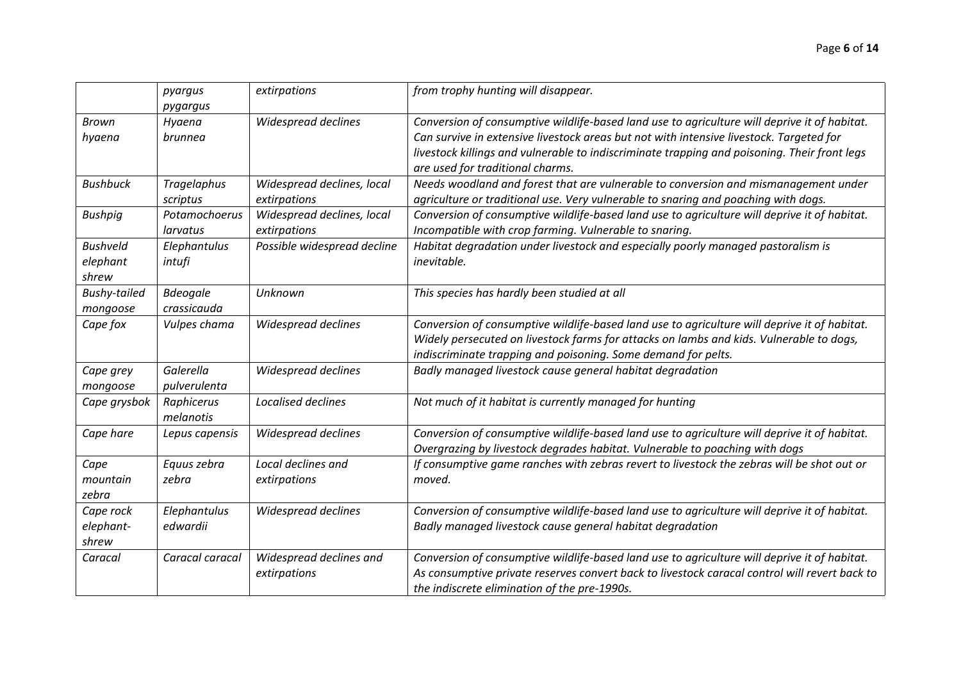|                                      | pyargus<br>pygargus            | extirpations                               | from trophy hunting will disappear.                                                                                                                                                                                                                                                                                         |
|--------------------------------------|--------------------------------|--------------------------------------------|-----------------------------------------------------------------------------------------------------------------------------------------------------------------------------------------------------------------------------------------------------------------------------------------------------------------------------|
| <b>Brown</b><br>hyaena               | Hyaena<br>brunnea              | Widespread declines                        | Conversion of consumptive wildlife-based land use to agriculture will deprive it of habitat.<br>Can survive in extensive livestock areas but not with intensive livestock. Targeted for<br>livestock killings and vulnerable to indiscriminate trapping and poisoning. Their front legs<br>are used for traditional charms. |
| <b>Bushbuck</b>                      | <b>Tragelaphus</b><br>scriptus | Widespread declines, local<br>extirpations | Needs woodland and forest that are vulnerable to conversion and mismanagement under<br>agriculture or traditional use. Very vulnerable to snaring and poaching with dogs.                                                                                                                                                   |
| <b>Bushpig</b>                       | Potamochoerus<br>larvatus      | Widespread declines, local<br>extirpations | Conversion of consumptive wildlife-based land use to agriculture will deprive it of habitat.<br>Incompatible with crop farming. Vulnerable to snaring.                                                                                                                                                                      |
| <b>Bushveld</b><br>elephant<br>shrew | Elephantulus<br>intufi         | Possible widespread decline                | Habitat degradation under livestock and especially poorly managed pastoralism is<br>inevitable.                                                                                                                                                                                                                             |
| <b>Bushy-tailed</b><br>mongoose      | <b>Bdeogale</b><br>crassicauda | Unknown                                    | This species has hardly been studied at all                                                                                                                                                                                                                                                                                 |
| Cape fox                             | Vulpes chama                   | Widespread declines                        | Conversion of consumptive wildlife-based land use to agriculture will deprive it of habitat.<br>Widely persecuted on livestock farms for attacks on lambs and kids. Vulnerable to dogs,<br>indiscriminate trapping and poisoning. Some demand for pelts.                                                                    |
| Cape grey<br>mongoose                | Galerella<br>pulverulenta      | Widespread declines                        | Badly managed livestock cause general habitat degradation                                                                                                                                                                                                                                                                   |
| Cape grysbok                         | Raphicerus<br>melanotis        | Localised declines                         | Not much of it habitat is currently managed for hunting                                                                                                                                                                                                                                                                     |
| Cape hare                            | Lepus capensis                 | Widespread declines                        | Conversion of consumptive wildlife-based land use to agriculture will deprive it of habitat.<br>Overgrazing by livestock degrades habitat. Vulnerable to poaching with dogs                                                                                                                                                 |
| Cape<br>mountain<br>zebra            | Equus zebra<br>zebra           | Local declines and<br>extirpations         | If consumptive game ranches with zebras revert to livestock the zebras will be shot out or<br>moved.                                                                                                                                                                                                                        |
| Cape rock<br>elephant-<br>shrew      | Elephantulus<br>edwardii       | Widespread declines                        | Conversion of consumptive wildlife-based land use to agriculture will deprive it of habitat.<br>Badly managed livestock cause general habitat degradation                                                                                                                                                                   |
| Caracal                              | Caracal caracal                | Widespread declines and<br>extirpations    | Conversion of consumptive wildlife-based land use to agriculture will deprive it of habitat.<br>As consumptive private reserves convert back to livestock caracal control will revert back to<br>the indiscrete elimination of the pre-1990s.                                                                               |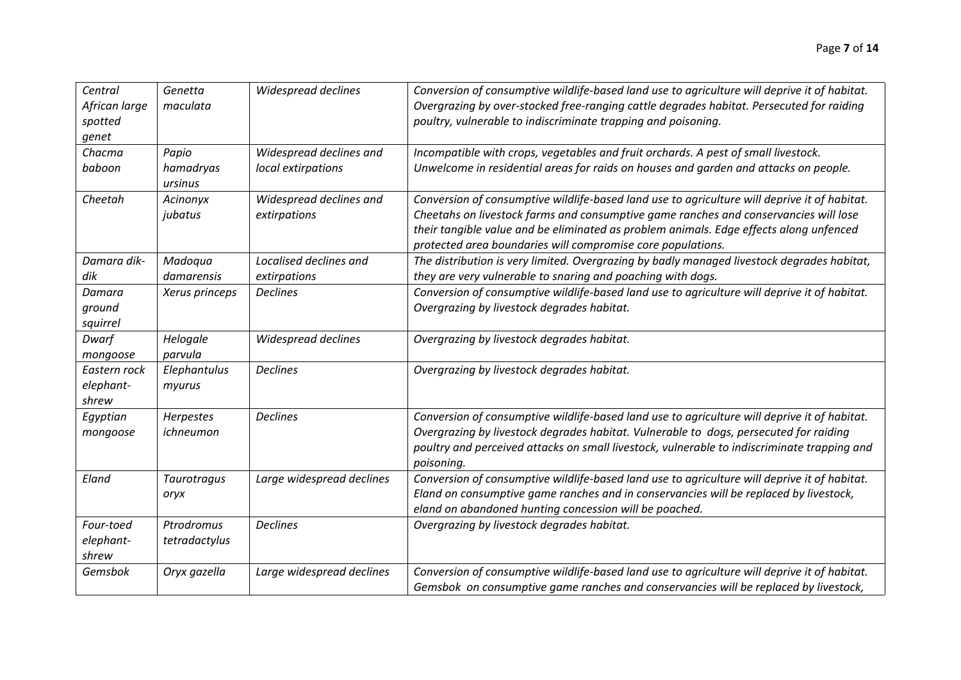| Central<br>African large<br>spotted<br>genet | Genetta<br>maculata         | Widespread declines                     | Conversion of consumptive wildlife-based land use to agriculture will deprive it of habitat.<br>Overgrazing by over-stocked free-ranging cattle degrades habitat. Persecuted for raiding<br>poultry, vulnerable to indiscriminate trapping and poisoning.                                                                                     |
|----------------------------------------------|-----------------------------|-----------------------------------------|-----------------------------------------------------------------------------------------------------------------------------------------------------------------------------------------------------------------------------------------------------------------------------------------------------------------------------------------------|
| Chacma                                       | Papio                       | Widespread declines and                 | Incompatible with crops, vegetables and fruit orchards. A pest of small livestock.                                                                                                                                                                                                                                                            |
| baboon                                       | hamadryas<br>ursinus        | local extirpations                      | Unwelcome in residential areas for raids on houses and garden and attacks on people.                                                                                                                                                                                                                                                          |
| Cheetah                                      | Acinonyx<br>jubatus         | Widespread declines and<br>extirpations | Conversion of consumptive wildlife-based land use to agriculture will deprive it of habitat.<br>Cheetahs on livestock farms and consumptive game ranches and conservancies will lose<br>their tangible value and be eliminated as problem animals. Edge effects along unfenced<br>protected area boundaries will compromise core populations. |
| Damara dik-                                  | Madoqua                     | Localised declines and                  | The distribution is very limited. Overgrazing by badly managed livestock degrades habitat,                                                                                                                                                                                                                                                    |
| dik                                          | damarensis                  | extirpations                            | they are very vulnerable to snaring and poaching with dogs.                                                                                                                                                                                                                                                                                   |
| Damara<br>ground<br>squirrel                 | Xerus princeps              | <b>Declines</b>                         | Conversion of consumptive wildlife-based land use to agriculture will deprive it of habitat.<br>Overgrazing by livestock degrades habitat.                                                                                                                                                                                                    |
| Dwarf<br>mongoose                            | Helogale<br>parvula         | Widespread declines                     | Overgrazing by livestock degrades habitat.                                                                                                                                                                                                                                                                                                    |
| Eastern rock<br>elephant-<br>shrew           | Elephantulus<br>myurus      | <b>Declines</b>                         | Overgrazing by livestock degrades habitat.                                                                                                                                                                                                                                                                                                    |
| Egyptian<br>mongoose                         | Herpestes<br>ichneumon      | <b>Declines</b>                         | Conversion of consumptive wildlife-based land use to agriculture will deprive it of habitat.<br>Overgrazing by livestock degrades habitat. Vulnerable to dogs, persecuted for raiding<br>poultry and perceived attacks on small livestock, vulnerable to indiscriminate trapping and<br>poisoning.                                            |
| Eland                                        | Taurotragus<br>oryx         | Large widespread declines               | Conversion of consumptive wildlife-based land use to agriculture will deprive it of habitat.<br>Eland on consumptive game ranches and in conservancies will be replaced by livestock,<br>eland on abandoned hunting concession will be poached.                                                                                               |
| Four-toed<br>elephant-<br>shrew              | Ptrodromus<br>tetradactylus | <b>Declines</b>                         | Overgrazing by livestock degrades habitat.                                                                                                                                                                                                                                                                                                    |
| Gemsbok                                      | Oryx gazella                | Large widespread declines               | Conversion of consumptive wildlife-based land use to agriculture will deprive it of habitat.<br>Gemsbok on consumptive game ranches and conservancies will be replaced by livestock,                                                                                                                                                          |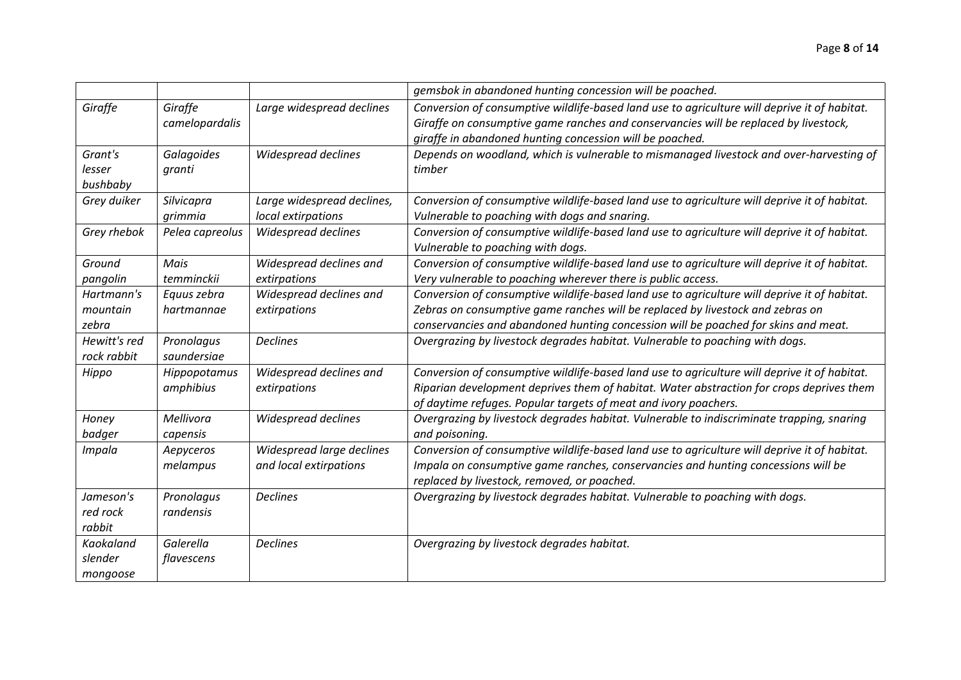|                  |                 |                            | gemsbok in abandoned hunting concession will be poached.                                     |
|------------------|-----------------|----------------------------|----------------------------------------------------------------------------------------------|
| Giraffe          | Giraffe         | Large widespread declines  | Conversion of consumptive wildlife-based land use to agriculture will deprive it of habitat. |
|                  | camelopardalis  |                            | Giraffe on consumptive game ranches and conservancies will be replaced by livestock,         |
|                  |                 |                            | giraffe in abandoned hunting concession will be poached.                                     |
| Grant's          | Galagoides      | Widespread declines        | Depends on woodland, which is vulnerable to mismanaged livestock and over-harvesting of      |
| lesser           | granti          |                            | timber                                                                                       |
| bushbaby         |                 |                            |                                                                                              |
| Grey duiker      | Silvicapra      | Large widespread declines, | Conversion of consumptive wildlife-based land use to agriculture will deprive it of habitat. |
|                  | grimmia         | local extirpations         | Vulnerable to poaching with dogs and snaring.                                                |
| Grey rhebok      | Pelea capreolus | Widespread declines        | Conversion of consumptive wildlife-based land use to agriculture will deprive it of habitat. |
|                  |                 |                            | Vulnerable to poaching with dogs.                                                            |
| Ground           | Mais            | Widespread declines and    | Conversion of consumptive wildlife-based land use to agriculture will deprive it of habitat. |
| pangolin         | temminckii      | extirpations               | Very vulnerable to poaching wherever there is public access.                                 |
| Hartmann's       | Equus zebra     | Widespread declines and    | Conversion of consumptive wildlife-based land use to agriculture will deprive it of habitat. |
| mountain         | hartmannae      | extirpations               | Zebras on consumptive game ranches will be replaced by livestock and zebras on               |
| zebra            |                 |                            | conservancies and abandoned hunting concession will be poached for skins and meat.           |
| Hewitt's red     | Pronolagus      | <b>Declines</b>            | Overgrazing by livestock degrades habitat. Vulnerable to poaching with dogs.                 |
| rock rabbit      | saundersiae     |                            |                                                                                              |
| Hippo            | Hippopotamus    | Widespread declines and    | Conversion of consumptive wildlife-based land use to agriculture will deprive it of habitat. |
|                  | amphibius       | extirpations               | Riparian development deprives them of habitat. Water abstraction for crops deprives them     |
|                  |                 |                            | of daytime refuges. Popular targets of meat and ivory poachers.                              |
| Honey            | Mellivora       | Widespread declines        | Overgrazing by livestock degrades habitat. Vulnerable to indiscriminate trapping, snaring    |
| badger           | capensis        |                            | and poisoning.                                                                               |
| Impala           | Aepyceros       | Widespread large declines  | Conversion of consumptive wildlife-based land use to agriculture will deprive it of habitat. |
|                  | melampus        | and local extirpations     | Impala on consumptive game ranches, conservancies and hunting concessions will be            |
|                  |                 |                            | replaced by livestock, removed, or poached.                                                  |
| Jameson's        | Pronolagus      | <b>Declines</b>            | Overgrazing by livestock degrades habitat. Vulnerable to poaching with dogs.                 |
| red rock         | randensis       |                            |                                                                                              |
| rabbit           |                 |                            |                                                                                              |
| <b>Kaokaland</b> | Galerella       | <b>Declines</b>            | Overgrazing by livestock degrades habitat.                                                   |
| slender          | flavescens      |                            |                                                                                              |
| mongoose         |                 |                            |                                                                                              |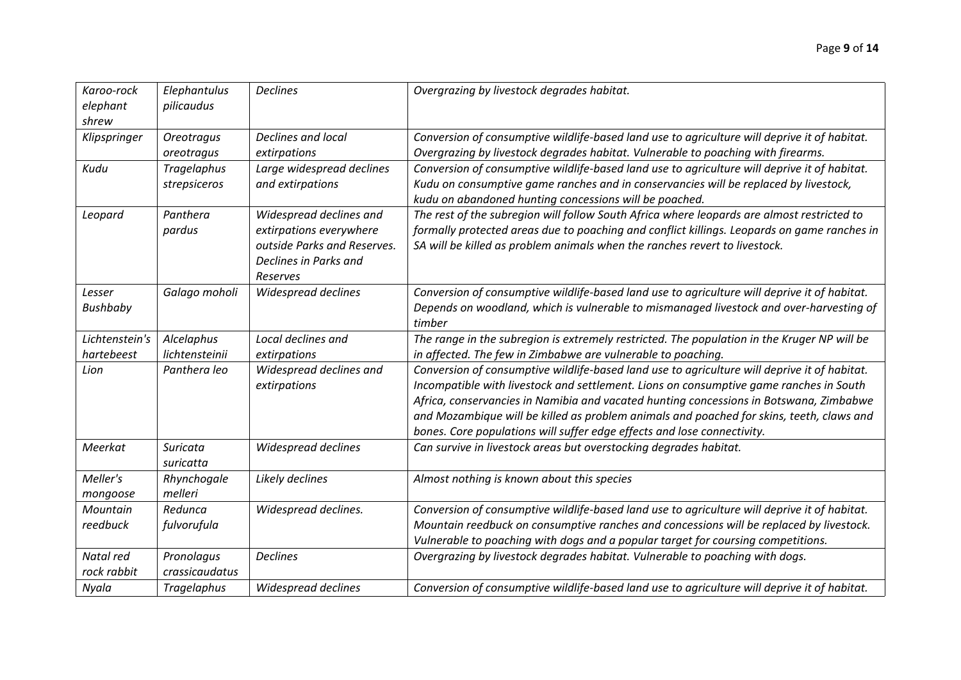| Karoo-rock<br>elephant<br>shrew | Elephantulus<br>pilicaudus         | <b>Declines</b>                                                                                                        | Overgrazing by livestock degrades habitat.                                                                                                                                                                                                                                                                                                                                                                                                              |
|---------------------------------|------------------------------------|------------------------------------------------------------------------------------------------------------------------|---------------------------------------------------------------------------------------------------------------------------------------------------------------------------------------------------------------------------------------------------------------------------------------------------------------------------------------------------------------------------------------------------------------------------------------------------------|
| Klipspringer                    | <b>Oreotragus</b><br>oreotragus    | Declines and local<br>extirpations                                                                                     | Conversion of consumptive wildlife-based land use to agriculture will deprive it of habitat.<br>Overgrazing by livestock degrades habitat. Vulnerable to poaching with firearms.                                                                                                                                                                                                                                                                        |
| Kudu                            | <b>Tragelaphus</b><br>strepsiceros | Large widespread declines<br>and extirpations                                                                          | Conversion of consumptive wildlife-based land use to agriculture will deprive it of habitat.<br>Kudu on consumptive game ranches and in conservancies will be replaced by livestock,<br>kudu on abandoned hunting concessions will be poached.                                                                                                                                                                                                          |
| Leopard                         | Panthera<br>pardus                 | Widespread declines and<br>extirpations everywhere<br>outside Parks and Reserves.<br>Declines in Parks and<br>Reserves | The rest of the subregion will follow South Africa where leopards are almost restricted to<br>formally protected areas due to poaching and conflict killings. Leopards on game ranches in<br>SA will be killed as problem animals when the ranches revert to livestock.                                                                                                                                                                                 |
| Lesser<br><b>Bushbaby</b>       | Galago moholi                      | Widespread declines                                                                                                    | Conversion of consumptive wildlife-based land use to agriculture will deprive it of habitat.<br>Depends on woodland, which is vulnerable to mismanaged livestock and over-harvesting of<br>timber                                                                                                                                                                                                                                                       |
| Lichtenstein's<br>hartebeest    | Alcelaphus<br>lichtensteinii       | Local declines and<br>extirpations                                                                                     | The range in the subregion is extremely restricted. The population in the Kruger NP will be<br>in affected. The few in Zimbabwe are vulnerable to poaching.                                                                                                                                                                                                                                                                                             |
| Lion                            | Panthera leo                       | Widespread declines and<br>extirpations                                                                                | Conversion of consumptive wildlife-based land use to agriculture will deprive it of habitat.<br>Incompatible with livestock and settlement. Lions on consumptive game ranches in South<br>Africa, conservancies in Namibia and vacated hunting concessions in Botswana, Zimbabwe<br>and Mozambique will be killed as problem animals and poached for skins, teeth, claws and<br>bones. Core populations will suffer edge effects and lose connectivity. |
| Meerkat                         | <b>Suricata</b><br>suricatta       | Widespread declines                                                                                                    | Can survive in livestock areas but overstocking degrades habitat.                                                                                                                                                                                                                                                                                                                                                                                       |
| Meller's<br>mongoose            | Rhynchogale<br>melleri             | Likely declines                                                                                                        | Almost nothing is known about this species                                                                                                                                                                                                                                                                                                                                                                                                              |
| Mountain<br>reedbuck            | Redunca<br>fulvorufula             | Widespread declines.                                                                                                   | Conversion of consumptive wildlife-based land use to agriculture will deprive it of habitat.<br>Mountain reedbuck on consumptive ranches and concessions will be replaced by livestock.<br>Vulnerable to poaching with dogs and a popular target for coursing competitions.                                                                                                                                                                             |
| Natal red<br>rock rabbit        | Pronolagus<br>crassicaudatus       | <b>Declines</b>                                                                                                        | Overgrazing by livestock degrades habitat. Vulnerable to poaching with dogs.                                                                                                                                                                                                                                                                                                                                                                            |
| Nyala                           | <b>Tragelaphus</b>                 | <b>Widespread declines</b>                                                                                             | Conversion of consumptive wildlife-based land use to agriculture will deprive it of habitat.                                                                                                                                                                                                                                                                                                                                                            |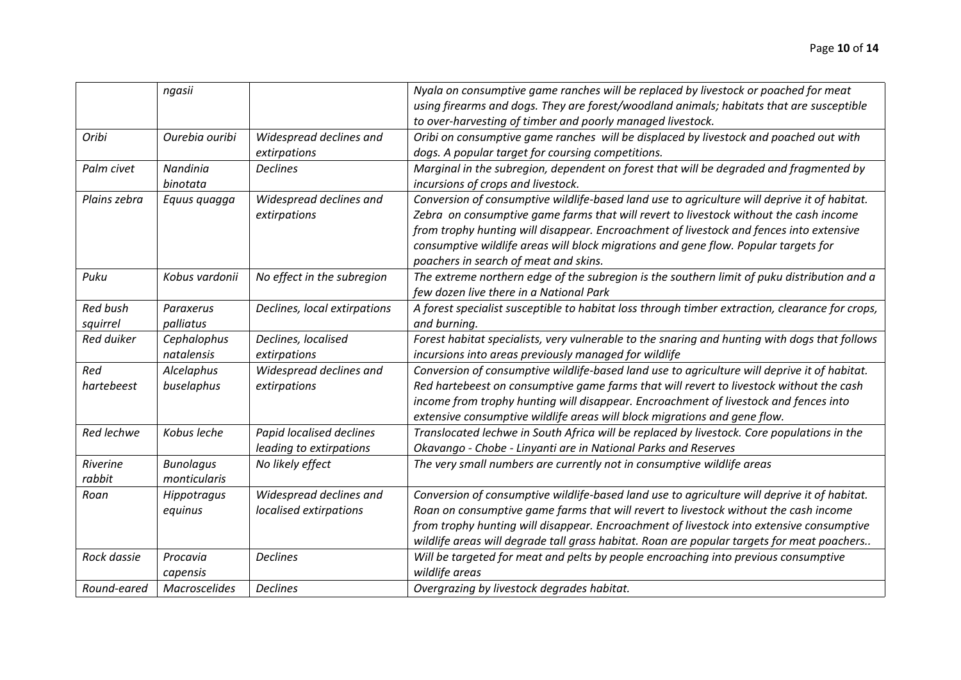|                             | ngasii                           |                                                     | Nyala on consumptive game ranches will be replaced by livestock or poached for meat<br>using firearms and dogs. They are forest/woodland animals; habitats that are susceptible<br>to over-harvesting of timber and poorly managed livestock.                                                                                                                                                                    |
|-----------------------------|----------------------------------|-----------------------------------------------------|------------------------------------------------------------------------------------------------------------------------------------------------------------------------------------------------------------------------------------------------------------------------------------------------------------------------------------------------------------------------------------------------------------------|
| Oribi                       | Ourebia ouribi                   | Widespread declines and<br>extirpations             | Oribi on consumptive game ranches will be displaced by livestock and poached out with<br>dogs. A popular target for coursing competitions.                                                                                                                                                                                                                                                                       |
| Palm civet                  | Nandinia<br>binotata             | <b>Declines</b>                                     | Marginal in the subregion, dependent on forest that will be degraded and fragmented by<br>incursions of crops and livestock.                                                                                                                                                                                                                                                                                     |
| Plains zebra                | Equus quagga                     | Widespread declines and<br>extirpations             | Conversion of consumptive wildlife-based land use to agriculture will deprive it of habitat.<br>Zebra on consumptive game farms that will revert to livestock without the cash income<br>from trophy hunting will disappear. Encroachment of livestock and fences into extensive<br>consumptive wildlife areas will block migrations and gene flow. Popular targets for<br>poachers in search of meat and skins. |
| Puku                        | Kobus vardonii                   | No effect in the subregion                          | The extreme northern edge of the subregion is the southern limit of puku distribution and a<br>few dozen live there in a National Park                                                                                                                                                                                                                                                                           |
| <b>Red bush</b><br>squirrel | Paraxerus<br>palliatus           | Declines, local extirpations                        | A forest specialist susceptible to habitat loss through timber extraction, clearance for crops,<br>and burning.                                                                                                                                                                                                                                                                                                  |
| Red duiker                  | Cephalophus<br>natalensis        | Declines, localised<br>extirpations                 | Forest habitat specialists, very vulnerable to the snaring and hunting with dogs that follows<br>incursions into areas previously managed for wildlife                                                                                                                                                                                                                                                           |
| Red<br>hartebeest           | Alcelaphus<br>buselaphus         | Widespread declines and<br>extirpations             | Conversion of consumptive wildlife-based land use to agriculture will deprive it of habitat.<br>Red hartebeest on consumptive game farms that will revert to livestock without the cash<br>income from trophy hunting will disappear. Encroachment of livestock and fences into<br>extensive consumptive wildlife areas will block migrations and gene flow.                                                     |
| Red lechwe                  | Kobus leche                      | Papid localised declines<br>leading to extirpations | Translocated lechwe in South Africa will be replaced by livestock. Core populations in the<br>Okavango - Chobe - Linyanti are in National Parks and Reserves                                                                                                                                                                                                                                                     |
| Riverine<br>rabbit          | <b>Bunolagus</b><br>monticularis | No likely effect                                    | The very small numbers are currently not in consumptive wildlife areas                                                                                                                                                                                                                                                                                                                                           |
| Roan                        | Hippotragus<br>equinus           | Widespread declines and<br>localised extirpations   | Conversion of consumptive wildlife-based land use to agriculture will deprive it of habitat.<br>Roan on consumptive game farms that will revert to livestock without the cash income<br>from trophy hunting will disappear. Encroachment of livestock into extensive consumptive<br>wildlife areas will degrade tall grass habitat. Roan are popular targets for meat poachers                                   |
| Rock dassie                 | Procavia<br>capensis             | <b>Declines</b>                                     | Will be targeted for meat and pelts by people encroaching into previous consumptive<br>wildlife areas                                                                                                                                                                                                                                                                                                            |
| Round-eared                 | <b>Macroscelides</b>             | <b>Declines</b>                                     | Overgrazing by livestock degrades habitat.                                                                                                                                                                                                                                                                                                                                                                       |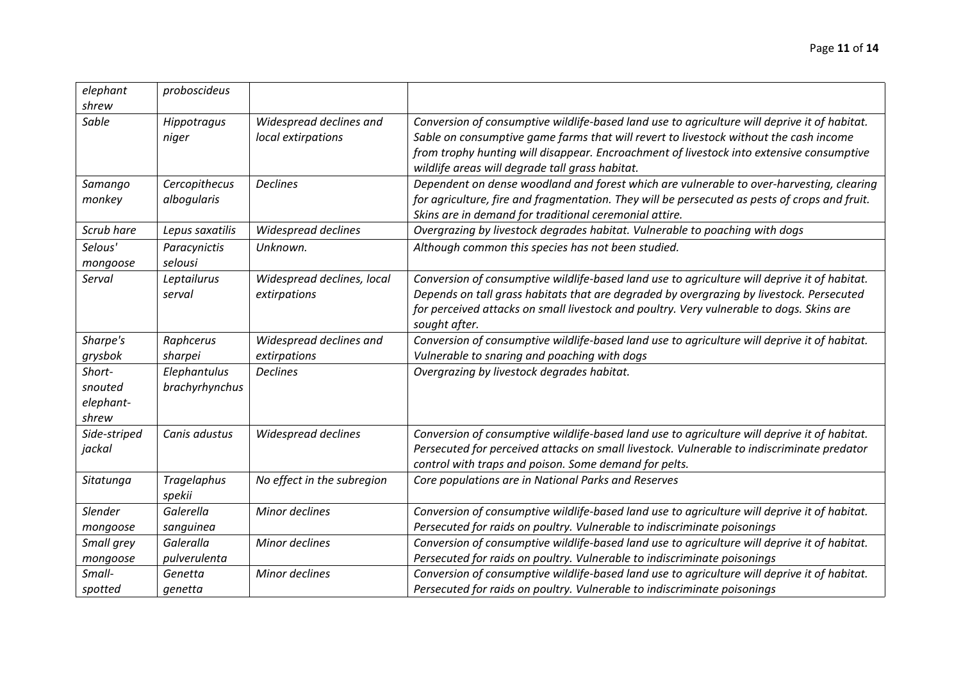| Widespread declines and    | Conversion of consumptive wildlife-based land use to agriculture will deprive it of habitat.                                                |
|----------------------------|---------------------------------------------------------------------------------------------------------------------------------------------|
| local extirpations         | Sable on consumptive game farms that will revert to livestock without the cash income                                                       |
|                            | from trophy hunting will disappear. Encroachment of livestock into extensive consumptive<br>wildlife areas will degrade tall grass habitat. |
| <b>Declines</b>            | Dependent on dense woodland and forest which are vulnerable to over-harvesting, clearing                                                    |
|                            | for agriculture, fire and fragmentation. They will be persecuted as pests of crops and fruit.                                               |
|                            | Skins are in demand for traditional ceremonial attire.                                                                                      |
| Widespread declines        | Overgrazing by livestock degrades habitat. Vulnerable to poaching with dogs                                                                 |
| Unknown.                   | Although common this species has not been studied.                                                                                          |
| Widespread declines, local | Conversion of consumptive wildlife-based land use to agriculture will deprive it of habitat.                                                |
| extirpations               | Depends on tall grass habitats that are degraded by overgrazing by livestock. Persecuted                                                    |
|                            | fan nammet in de meer aan de meeste een de meer de meer en de meeste heer de meer feltom moor                                               |

| Scrub hare                              | Lepus saxatilis                | Widespread declines                        | Overgrazing by livestock degrades habitat. Vulnerable to poaching with dogs                                                                                                                                                                                                                           |
|-----------------------------------------|--------------------------------|--------------------------------------------|-------------------------------------------------------------------------------------------------------------------------------------------------------------------------------------------------------------------------------------------------------------------------------------------------------|
| Selous'<br>mongoose                     | Paracynictis<br>selousi        | Unknown.                                   | Although common this species has not been studied.                                                                                                                                                                                                                                                    |
| Serval                                  | Leptailurus<br>serval          | Widespread declines, local<br>extirpations | Conversion of consumptive wildlife-based land use to agriculture will deprive it of habitat.<br>Depends on tall grass habitats that are degraded by overgrazing by livestock. Persecuted<br>for perceived attacks on small livestock and poultry. Very vulnerable to dogs. Skins are<br>sought after. |
| Sharpe's<br>grysbok                     | Raphcerus<br>sharpei           | Widespread declines and<br>extirpations    | Conversion of consumptive wildlife-based land use to agriculture will deprive it of habitat.<br>Vulnerable to snaring and poaching with dogs                                                                                                                                                          |
| Short-<br>snouted<br>elephant-<br>shrew | Elephantulus<br>brachyrhynchus | <b>Declines</b>                            | Overgrazing by livestock degrades habitat.                                                                                                                                                                                                                                                            |
| Side-striped<br>jackal                  | Canis adustus                  | Widespread declines                        | Conversion of consumptive wildlife-based land use to agriculture will deprive it of habitat.<br>Persecuted for perceived attacks on small livestock. Vulnerable to indiscriminate predator<br>control with traps and poison. Some demand for pelts.                                                   |
| Sitatunga                               | Tragelaphus<br>spekii          | No effect in the subregion                 | Core populations are in National Parks and Reserves                                                                                                                                                                                                                                                   |
| <b>Slender</b><br>mongoose              | Galerella<br>sanguinea         | Minor declines                             | Conversion of consumptive wildlife-based land use to agriculture will deprive it of habitat.<br>Persecuted for raids on poultry. Vulnerable to indiscriminate poisonings                                                                                                                              |
| Small grey<br>mongoose                  | Galeralla<br>pulverulenta      | <b>Minor declines</b>                      | Conversion of consumptive wildlife-based land use to agriculture will deprive it of habitat.<br>Persecuted for raids on poultry. Vulnerable to indiscriminate poisonings                                                                                                                              |
| Small-<br>spotted                       | Genetta<br>genetta             | Minor declines                             | Conversion of consumptive wildlife-based land use to agriculture will deprive it of habitat.<br>Persecuted for raids on poultry. Vulnerable to indiscriminate poisonings                                                                                                                              |

*elephant*

*Samango monkey*

*proboscideus*

*Sable Hippotragus*

*Cercopithecus albogularis*

*niger*

*shrew*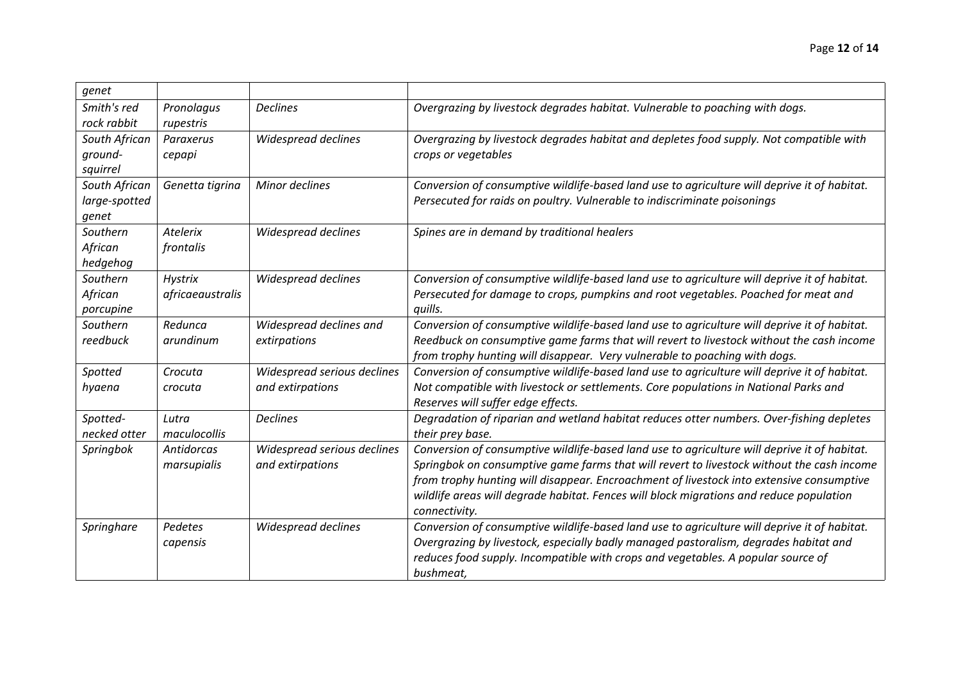| genet         |                   |                             |                                                                                              |
|---------------|-------------------|-----------------------------|----------------------------------------------------------------------------------------------|
| Smith's red   | Pronolagus        | <b>Declines</b>             | Overgrazing by livestock degrades habitat. Vulnerable to poaching with dogs.                 |
| rock rabbit   | rupestris         |                             |                                                                                              |
| South African | Paraxerus         | Widespread declines         | Overgrazing by livestock degrades habitat and depletes food supply. Not compatible with      |
| ground-       | cepapi            |                             | crops or vegetables                                                                          |
| squirrel      |                   |                             |                                                                                              |
| South African | Genetta tigrina   | Minor declines              | Conversion of consumptive wildlife-based land use to agriculture will deprive it of habitat. |
| large-spotted |                   |                             | Persecuted for raids on poultry. Vulnerable to indiscriminate poisonings                     |
| genet         |                   |                             |                                                                                              |
| Southern      | <b>Atelerix</b>   | Widespread declines         | Spines are in demand by traditional healers                                                  |
| African       | frontalis         |                             |                                                                                              |
| hedgehog      |                   |                             |                                                                                              |
| Southern      | <b>Hystrix</b>    | Widespread declines         | Conversion of consumptive wildlife-based land use to agriculture will deprive it of habitat. |
| African       | africaeaustralis  |                             | Persecuted for damage to crops, pumpkins and root vegetables. Poached for meat and           |
| porcupine     |                   |                             | quills.                                                                                      |
| Southern      | Redunca           | Widespread declines and     | Conversion of consumptive wildlife-based land use to agriculture will deprive it of habitat. |
| reedbuck      | arundinum         | extirpations                | Reedbuck on consumptive game farms that will revert to livestock without the cash income     |
|               |                   |                             | from trophy hunting will disappear. Very vulnerable to poaching with dogs.                   |
| Spotted       | Crocuta           | Widespread serious declines | Conversion of consumptive wildlife-based land use to agriculture will deprive it of habitat. |
| hyaena        | crocuta           | and extirpations            | Not compatible with livestock or settlements. Core populations in National Parks and         |
|               |                   |                             | Reserves will suffer edge effects.                                                           |
| Spotted-      | Lutra             | <b>Declines</b>             | Degradation of riparian and wetland habitat reduces otter numbers. Over-fishing depletes     |
| necked otter  | maculocollis      |                             | their prey base.                                                                             |
| Springbok     | <b>Antidorcas</b> | Widespread serious declines | Conversion of consumptive wildlife-based land use to agriculture will deprive it of habitat. |
|               | marsupialis       | and extirpations            | Springbok on consumptive game farms that will revert to livestock without the cash income    |
|               |                   |                             | from trophy hunting will disappear. Encroachment of livestock into extensive consumptive     |
|               |                   |                             | wildlife areas will degrade habitat. Fences will block migrations and reduce population      |
|               |                   |                             | connectivity.                                                                                |
| Springhare    | Pedetes           | Widespread declines         | Conversion of consumptive wildlife-based land use to agriculture will deprive it of habitat. |
|               | capensis          |                             | Overgrazing by livestock, especially badly managed pastoralism, degrades habitat and         |
|               |                   |                             | reduces food supply. Incompatible with crops and vegetables. A popular source of             |
|               |                   |                             | bushmeat,                                                                                    |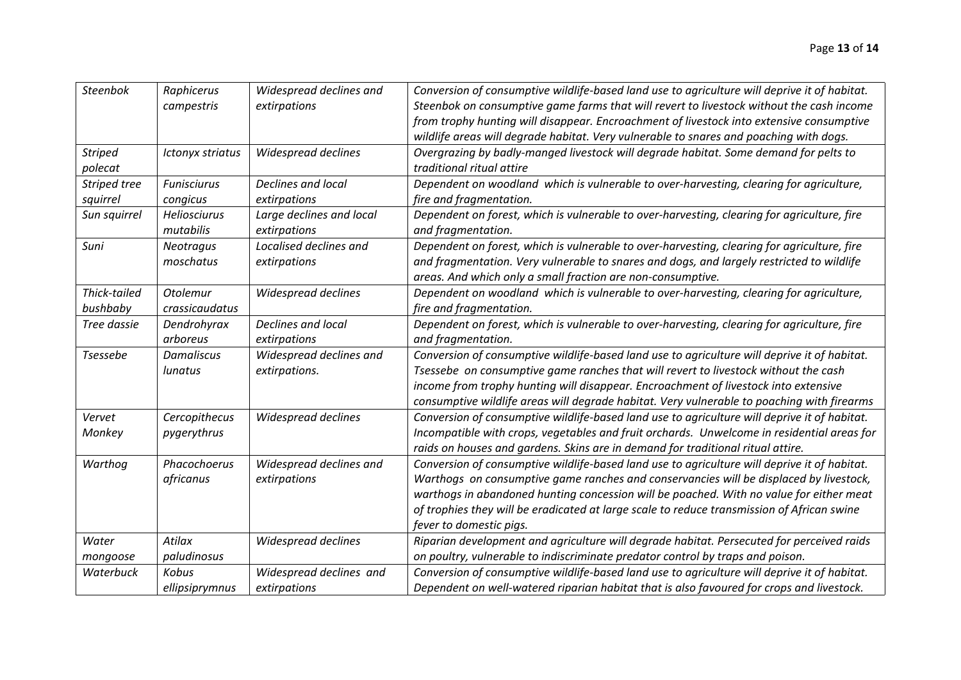| <b>Steenbok</b> | Raphicerus         | Widespread declines and  | Conversion of consumptive wildlife-based land use to agriculture will deprive it of habitat. |
|-----------------|--------------------|--------------------------|----------------------------------------------------------------------------------------------|
|                 | campestris         | extirpations             | Steenbok on consumptive game farms that will revert to livestock without the cash income     |
|                 |                    |                          | from trophy hunting will disappear. Encroachment of livestock into extensive consumptive     |
|                 |                    |                          | wildlife areas will degrade habitat. Very vulnerable to snares and poaching with dogs.       |
| <b>Striped</b>  | Ictonyx striatus   | Widespread declines      | Overgrazing by badly-manged livestock will degrade habitat. Some demand for pelts to         |
| polecat         |                    |                          | traditional ritual attire                                                                    |
| Striped tree    | <b>Funisciurus</b> | Declines and local       | Dependent on woodland which is vulnerable to over-harvesting, clearing for agriculture,      |
| squirrel        | congicus           | extirpations             | fire and fragmentation.                                                                      |
| Sun squirrel    | Heliosciurus       | Large declines and local | Dependent on forest, which is vulnerable to over-harvesting, clearing for agriculture, fire  |
|                 | mutabilis          | extirpations             | and fragmentation.                                                                           |
| Suni            | Neotragus          | Localised declines and   | Dependent on forest, which is vulnerable to over-harvesting, clearing for agriculture, fire  |
|                 | moschatus          | extirpations             | and fragmentation. Very vulnerable to snares and dogs, and largely restricted to wildlife    |
|                 |                    |                          | areas. And which only a small fraction are non-consumptive.                                  |
| Thick-tailed    | Otolemur           | Widespread declines      | Dependent on woodland which is vulnerable to over-harvesting, clearing for agriculture,      |
| bushbaby        | crassicaudatus     |                          | fire and fragmentation.                                                                      |
| Tree dassie     | Dendrohyrax        | Declines and local       | Dependent on forest, which is vulnerable to over-harvesting, clearing for agriculture, fire  |
|                 | arboreus           | extirpations             | and fragmentation.                                                                           |
| <b>Tsessebe</b> | <b>Damaliscus</b>  | Widespread declines and  | Conversion of consumptive wildlife-based land use to agriculture will deprive it of habitat. |
|                 | lunatus            | extirpations.            | Tsessebe on consumptive game ranches that will revert to livestock without the cash          |
|                 |                    |                          | income from trophy hunting will disappear. Encroachment of livestock into extensive          |
|                 |                    |                          | consumptive wildlife areas will degrade habitat. Very vulnerable to poaching with firearms   |
| Vervet          | Cercopithecus      | Widespread declines      | Conversion of consumptive wildlife-based land use to agriculture will deprive it of habitat. |
| Monkey          | pygerythrus        |                          | Incompatible with crops, vegetables and fruit orchards. Unwelcome in residential areas for   |
|                 |                    |                          | raids on houses and gardens. Skins are in demand for traditional ritual attire.              |
| Warthog         | Phacochoerus       | Widespread declines and  | Conversion of consumptive wildlife-based land use to agriculture will deprive it of habitat. |
|                 | africanus          | extirpations             | Warthogs on consumptive game ranches and conservancies will be displaced by livestock,       |
|                 |                    |                          | warthogs in abandoned hunting concession will be poached. With no value for either meat      |
|                 |                    |                          | of trophies they will be eradicated at large scale to reduce transmission of African swine   |
|                 |                    |                          | fever to domestic pigs.                                                                      |
| Water           | Atilax             | Widespread declines      | Riparian development and agriculture will degrade habitat. Persecuted for perceived raids    |
| mongoose        | paludinosus        |                          | on poultry, vulnerable to indiscriminate predator control by traps and poison.               |
| Waterbuck       | <b>Kobus</b>       | Widespread declines and  | Conversion of consumptive wildlife-based land use to agriculture will deprive it of habitat. |
|                 | ellipsiprymnus     | extirpations             | Dependent on well-watered riparian habitat that is also favoured for crops and livestock.    |